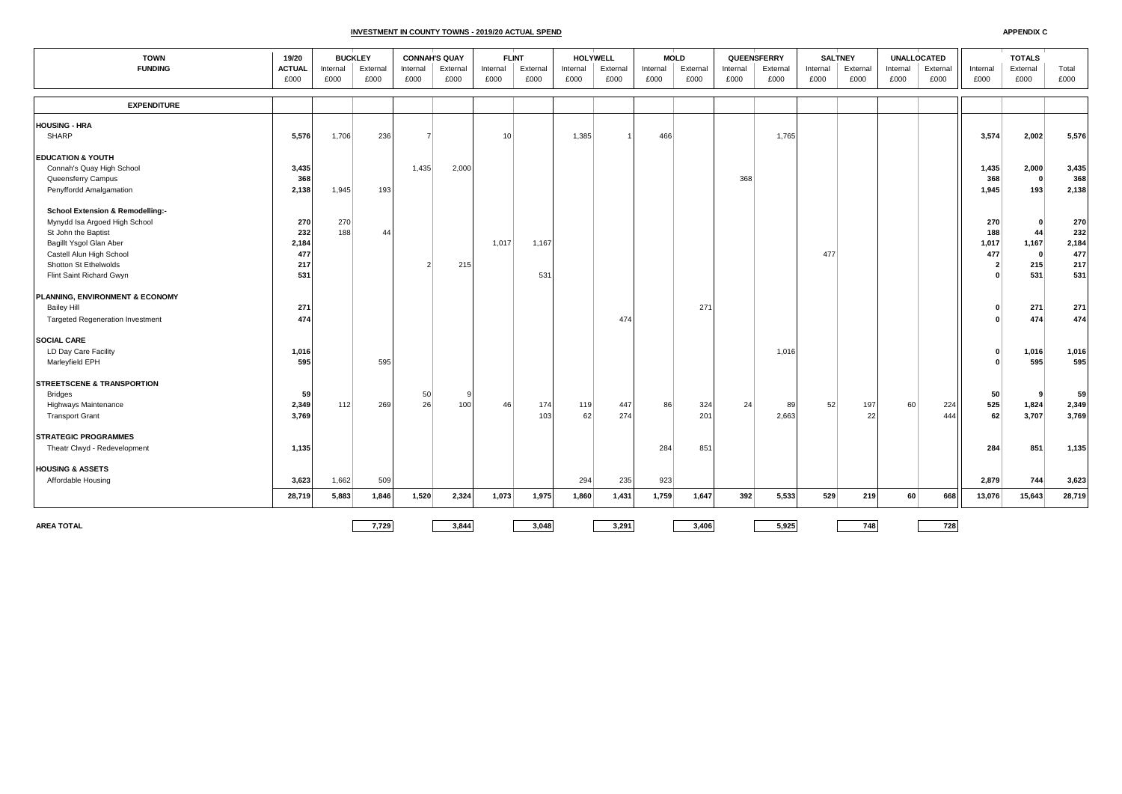## **INVESTMENT IN COUNTY TOWNS - 2019/20 ACTUAL SPEND**

| <b>TOWN</b><br>19/20                        |               | <b>BUCKLEY</b> |          | <b>CONNAH'S QUAY</b> |          | <b>FLINT</b> |          | <b>HOLYWELL</b> |          |          | <b>MOLD</b> | QUEENSFERRY |          | <b>SALTNEY</b> |          | <b>UNALLOCATED</b> |          | <b>TOTALS</b>           |              |        |
|---------------------------------------------|---------------|----------------|----------|----------------------|----------|--------------|----------|-----------------|----------|----------|-------------|-------------|----------|----------------|----------|--------------------|----------|-------------------------|--------------|--------|
| <b>FUNDING</b>                              | <b>ACTUAL</b> | Internal       | External | Internal             | External | Internal     | External | Internal        | External | Internal | External    | Internal    | External | Internal       | External | Internal           | External | Internal                | External     | Total  |
|                                             | £000          | £000           | £000     | £000                 | £000     | £000         | £000     | £000            | £000     | £000     | £000        | £000        | £000     | £000           | £000     | £000               | £000     | £000                    | £000         | £000   |
| <b>EXPENDITURE</b>                          |               |                |          |                      |          |              |          |                 |          |          |             |             |          |                |          |                    |          |                         |              |        |
| <b>HOUSING - HRA</b>                        |               |                |          |                      |          |              |          |                 |          |          |             |             |          |                |          |                    |          |                         |              |        |
| <b>SHARP</b>                                | 5,576         | 1,706          | 236      |                      |          | 10           |          | 1,385           |          | 466      |             |             | 1,765    |                |          |                    |          | 3,574                   | 2,002        | 5,576  |
|                                             |               |                |          |                      |          |              |          |                 |          |          |             |             |          |                |          |                    |          |                         |              |        |
| <b>EDUCATION &amp; YOUTH</b>                |               |                |          |                      |          |              |          |                 |          |          |             |             |          |                |          |                    |          |                         |              |        |
| Connah's Quay High School                   | 3,435         |                |          | 1,435                | 2,000    |              |          |                 |          |          |             |             |          |                |          |                    |          | 1,435                   | 2,000        | 3,435  |
| Queensferry Campus                          | 368           |                |          |                      |          |              |          |                 |          |          |             | 368         |          |                |          |                    |          | 368                     | $\mathbf{0}$ | 368    |
| Penyffordd Amalgamation                     | 2,138         | 1,945          | 193      |                      |          |              |          |                 |          |          |             |             |          |                |          |                    |          | 1,945                   | 193          | 2,138  |
| <b>School Extension &amp; Remodelling:-</b> |               |                |          |                      |          |              |          |                 |          |          |             |             |          |                |          |                    |          |                         |              |        |
| Mynydd Isa Argoed High School               | 270           | 270            |          |                      |          |              |          |                 |          |          |             |             |          |                |          |                    |          | 270                     | $\Omega$     | 270    |
| St John the Baptist                         | 232           | 188            | 44       |                      |          |              |          |                 |          |          |             |             |          |                |          |                    |          | 188                     | 44           | 232    |
| Bagillt Ysgol Glan Aber                     | 2,184         |                |          |                      |          | 1,017        | 1,167    |                 |          |          |             |             |          |                |          |                    |          | 1,017                   | 1,167        | 2,184  |
| Castell Alun High School                    | 477           |                |          |                      |          |              |          |                 |          |          |             |             |          | 477            |          |                    |          | 477                     | $\mathbf{0}$ | 477    |
| Shotton St Ethelwolds                       | 217           |                |          |                      | 215      |              |          |                 |          |          |             |             |          |                |          |                    |          | $\overline{\mathbf{2}}$ | 215          | 217    |
| Flint Saint Richard Gwyn                    | 531           |                |          |                      |          |              | 531      |                 |          |          |             |             |          |                |          |                    |          |                         | 531          | 531    |
| PLANNING, ENVIRONMENT & ECONOMY             |               |                |          |                      |          |              |          |                 |          |          |             |             |          |                |          |                    |          |                         |              |        |
| <b>Bailey Hill</b>                          | 271           |                |          |                      |          |              |          |                 |          |          | 271         |             |          |                |          |                    |          |                         | 271          | 271    |
| <b>Targeted Regeneration Investment</b>     | 474           |                |          |                      |          |              |          |                 | 474      |          |             |             |          |                |          |                    |          |                         | 474          | 474    |
| <b>SOCIAL CARE</b>                          |               |                |          |                      |          |              |          |                 |          |          |             |             |          |                |          |                    |          |                         |              |        |
| LD Day Care Facility                        | 1,016         |                |          |                      |          |              |          |                 |          |          |             |             | 1,016    |                |          |                    |          |                         | 1,016        | 1,016  |
| Marleyfield EPH                             | 595           |                | 595      |                      |          |              |          |                 |          |          |             |             |          |                |          |                    |          |                         | 595          | 595    |
| <b>STREETSCENE &amp; TRANSPORTION</b>       |               |                |          |                      |          |              |          |                 |          |          |             |             |          |                |          |                    |          |                         |              |        |
| Bridges                                     | 59            |                |          | 50                   |          |              |          |                 |          |          |             |             |          |                |          |                    |          | 50                      | 9            | 59     |
| Highways Maintenance                        | 2,349         | 112            | 269      | 26                   | 100      | 46           | 174      | 119             | 447      | 86       | 324         | 24          | 89       | 52             | 197      | 60                 | 224      | 525                     | 1,824        | 2,349  |
| <b>Transport Grant</b>                      | 3,769         |                |          |                      |          |              | 103      | 62              | 274      |          | 201         |             | 2,663    |                | 22       |                    | 444      | 62                      | 3,707        | 3,769  |
| <b>STRATEGIC PROGRAMMES</b>                 |               |                |          |                      |          |              |          |                 |          |          |             |             |          |                |          |                    |          |                         |              |        |
| Theatr Clwyd - Redevelopment                | 1,135         |                |          |                      |          |              |          |                 |          | 284      | 851         |             |          |                |          |                    |          | 284                     | 851          | 1,135  |
|                                             |               |                |          |                      |          |              |          |                 |          |          |             |             |          |                |          |                    |          |                         |              |        |
| <b>HOUSING &amp; ASSETS</b>                 |               |                |          |                      |          |              |          |                 |          |          |             |             |          |                |          |                    |          |                         |              |        |
| Affordable Housing                          | 3,623         | 1,662          | 509      |                      |          |              |          | 294             | 235      | 923      |             |             |          |                |          |                    |          | 2,879                   | 744          | 3,623  |
|                                             | 28,719        | 5,883          | 1,846    | 1,520                | 2,324    | 1,073        | 1,975    | 1,860           | 1,431    | 1,759    | 1,647       | 392         | 5,533    | 529            | 219      | 60                 | 668      | 13,076                  | 15,643       | 28,719 |
|                                             |               |                |          |                      |          |              |          |                 |          |          |             |             |          |                |          |                    |          |                         |              |        |
| <b>AREA TOTAL</b>                           |               |                | 7,729    |                      | 3,844    |              | 3,048    |                 | 3,291    |          | 3,406       |             | 5,925    |                | 748      |                    | 728      |                         |              |        |

**APPENDIX C**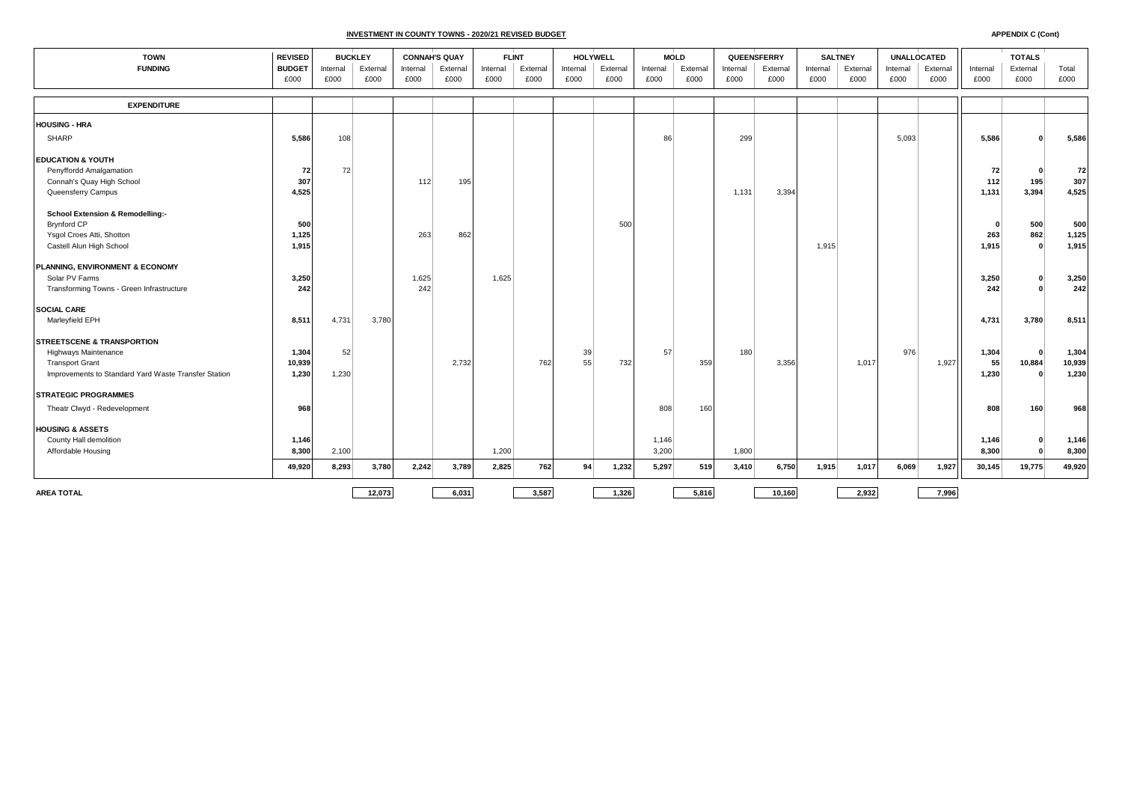**INVESTMENT IN COUNTY TOWNS - 2020/21 REVISED BUDGET**

| <b>TOWN</b><br><b>FUNDING</b>                        |                       | <b>REVISED</b><br><b>BUCKLEY</b> |                  |                  | <b>CONNAH'S QUAY</b> |                  | <b>FLINT</b>     |                  | <b>HOLYWELL</b>  |                  | <b>MOLD</b>      |                  | QUEENSFERRY      | <b>SALTNEY</b>   |                  | <b>UNALLOCATED</b> |                  |                  | <b>TOTALS</b>    |               |
|------------------------------------------------------|-----------------------|----------------------------------|------------------|------------------|----------------------|------------------|------------------|------------------|------------------|------------------|------------------|------------------|------------------|------------------|------------------|--------------------|------------------|------------------|------------------|---------------|
|                                                      | <b>BUDGET</b><br>£000 | Internal<br>£000                 | External<br>£000 | Internal<br>£000 | External<br>£000     | Internal<br>£000 | External<br>£000 | Internal<br>£000 | External<br>£000 | Internal<br>£000 | External<br>£000 | Internal<br>£000 | External<br>£000 | Internal<br>£000 | External<br>£000 | Internal<br>£000   | External<br>£000 | Internal<br>£000 | External<br>£000 | Total<br>£000 |
|                                                      |                       |                                  |                  |                  |                      |                  |                  |                  |                  |                  |                  |                  |                  |                  |                  |                    |                  |                  |                  |               |
| <b>EXPENDITURE</b>                                   |                       |                                  |                  |                  |                      |                  |                  |                  |                  |                  |                  |                  |                  |                  |                  |                    |                  |                  |                  |               |
| <b>HOUSING - HRA</b>                                 |                       |                                  |                  |                  |                      |                  |                  |                  |                  |                  |                  |                  |                  |                  |                  |                    |                  |                  |                  |               |
| <b>SHARP</b>                                         | 5,586                 | 108                              |                  |                  |                      |                  |                  |                  |                  | 86               |                  | 299              |                  |                  |                  | 5,093              |                  | 5,586            |                  | 5,586         |
| <b>EDUCATION &amp; YOUTH</b>                         |                       |                                  |                  |                  |                      |                  |                  |                  |                  |                  |                  |                  |                  |                  |                  |                    |                  |                  |                  |               |
| Penyffordd Amalgamation                              | 72                    | 72                               |                  |                  |                      |                  |                  |                  |                  |                  |                  |                  |                  |                  |                  |                    |                  | 72               | $\Omega$         | 72            |
| Connah's Quay High School                            | 307                   |                                  |                  | 112              | 195                  |                  |                  |                  |                  |                  |                  |                  |                  |                  |                  |                    |                  | 112              | 195              | 307           |
| Queensferry Campus                                   | 4,525                 |                                  |                  |                  |                      |                  |                  |                  |                  |                  |                  | 1,131            | 3,394            |                  |                  |                    |                  | 1,131            | 3,394            | 4,525         |
| <b>School Extension &amp; Remodelling:-</b>          |                       |                                  |                  |                  |                      |                  |                  |                  |                  |                  |                  |                  |                  |                  |                  |                    |                  |                  |                  |               |
| <b>Brynford CP</b>                                   | 500                   |                                  |                  |                  |                      |                  |                  |                  | 500              |                  |                  |                  |                  |                  |                  |                    |                  | O                | 500              | 500           |
| Ysgol Croes Atti, Shotton                            | 1,125                 |                                  |                  | 263              | 862                  |                  |                  |                  |                  |                  |                  |                  |                  |                  |                  |                    |                  | 263              | 862              | 1,125         |
| Castell Alun High School                             | 1,915                 |                                  |                  |                  |                      |                  |                  |                  |                  |                  |                  |                  |                  | 1,915            |                  |                    |                  | 1,915            | $\Omega$         | 1,915         |
| PLANNING, ENVIRONMENT & ECONOMY                      |                       |                                  |                  |                  |                      |                  |                  |                  |                  |                  |                  |                  |                  |                  |                  |                    |                  |                  |                  |               |
| Solar PV Farms                                       | 3,250                 |                                  |                  | 1,625            |                      | 1.625            |                  |                  |                  |                  |                  |                  |                  |                  |                  |                    |                  | 3,250            |                  | 3,250         |
| Transforming Towns - Green Infrastructure            | 242                   |                                  |                  | 242              |                      |                  |                  |                  |                  |                  |                  |                  |                  |                  |                  |                    |                  | 242              |                  | 242           |
| <b>SOCIAL CARE</b>                                   |                       |                                  |                  |                  |                      |                  |                  |                  |                  |                  |                  |                  |                  |                  |                  |                    |                  |                  |                  |               |
| Marleyfield EPH                                      | 8,511                 | 4,731                            | 3,780            |                  |                      |                  |                  |                  |                  |                  |                  |                  |                  |                  |                  |                    |                  | 4,731            | 3,780            | 8,511         |
| <b>STREETSCENE &amp; TRANSPORTION</b>                |                       |                                  |                  |                  |                      |                  |                  |                  |                  |                  |                  |                  |                  |                  |                  |                    |                  |                  |                  |               |
| <b>Highways Maintenance</b>                          | 1,304                 | 52                               |                  |                  |                      |                  |                  | 39               |                  | 57               |                  | 180              |                  |                  |                  | 976                |                  | 1,304            | $\Omega$         | 1,304         |
| <b>Transport Grant</b>                               | 10,939                |                                  |                  |                  | 2,732                |                  | 762              | 55               | 732              |                  | 359              |                  | 3,356            |                  | 1,017            |                    | 1,927            | 55               | 10,884           | 10,939        |
| Improvements to Standard Yard Waste Transfer Station | 1,230                 | 1,230                            |                  |                  |                      |                  |                  |                  |                  |                  |                  |                  |                  |                  |                  |                    |                  | 1,230            | $\Omega$         | 1,230         |
| <b>STRATEGIC PROGRAMMES</b>                          |                       |                                  |                  |                  |                      |                  |                  |                  |                  |                  |                  |                  |                  |                  |                  |                    |                  |                  |                  |               |
| Theatr Clwyd - Redevelopment                         | 968                   |                                  |                  |                  |                      |                  |                  |                  |                  | 808              | 160              |                  |                  |                  |                  |                    |                  | 808              | 160              | 968           |
| <b>HOUSING &amp; ASSETS</b>                          |                       |                                  |                  |                  |                      |                  |                  |                  |                  |                  |                  |                  |                  |                  |                  |                    |                  |                  |                  |               |
| County Hall demolition                               | 1,146                 |                                  |                  |                  |                      |                  |                  |                  |                  | 1,146            |                  |                  |                  |                  |                  |                    |                  | 1,146            |                  | 1,146         |
| Affordable Housing                                   | 8,300                 | 2,100                            |                  |                  |                      | 1,200            |                  |                  |                  | 3,200            |                  | 1,800            |                  |                  |                  |                    |                  | 8,300            | $\Omega$         | 8,300         |
|                                                      | 49,920                | 8,293                            | 3,780            | 2,242            | 3,789                | 2,825            | 762              | 94               | 1,232            | 5,297            | 519              | 3,410            | 6,750            | 1,915            | 1,017            | 6,069              | 1,927            | 30,145           | 19,775           | 49,920        |
| <b>AREA TOTAL</b>                                    |                       |                                  | 12,073           |                  | 6,031                |                  | 3,587            |                  | 1,326            |                  | 5,816            |                  | 10,160           |                  | 2,932            |                    | 7,996            |                  |                  |               |

**APPENDIX C (Cont)**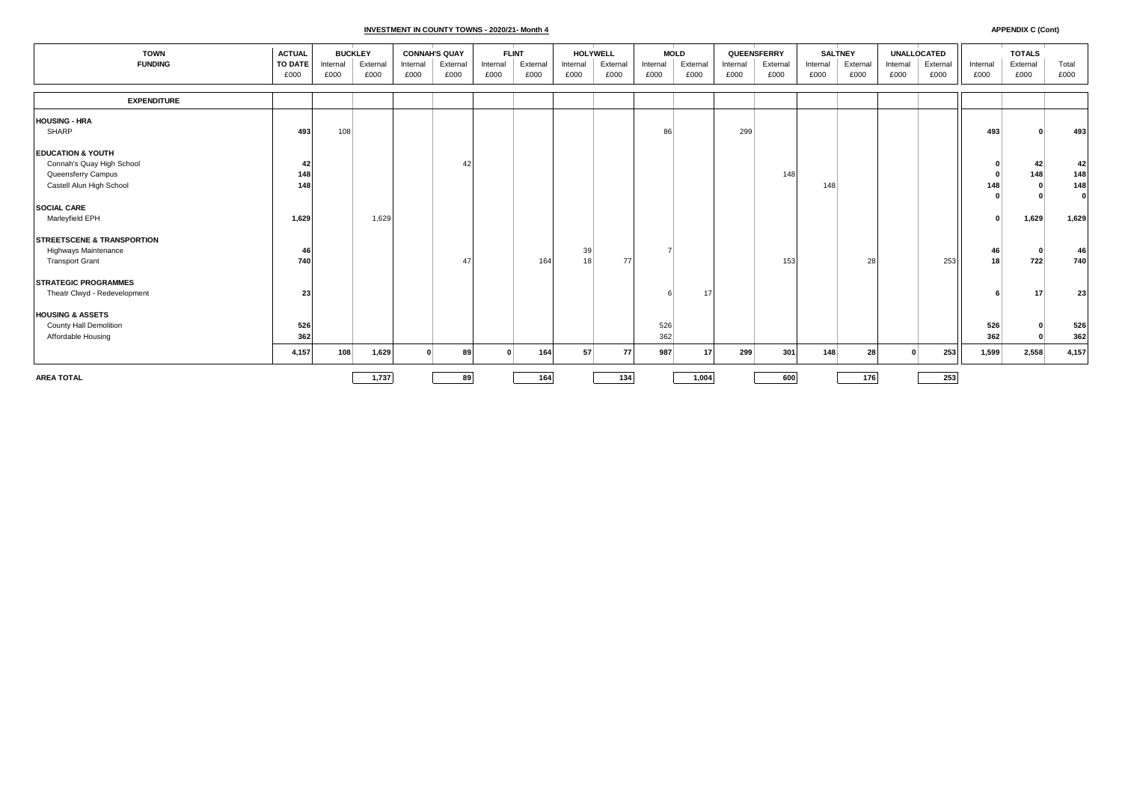## **INVESTMENT IN COUNTY TOWNS - 2020/21- Month 4**

| <b>TOWN</b>                                                                                                 |                       | <b>BUCKLEY</b>   |                  | <b>CONNAH'S QUAY</b> |                  | <b>FLINT</b>     |                  | HOLYWELL         |                  | <b>MOLD</b>      |                  | QUEENSFERRY      |                  | <b>SALTNEY</b>   |                  | <b>UNALLOCATED</b> |                  |                  | <b>TOTALS</b>    |                                  |
|-------------------------------------------------------------------------------------------------------------|-----------------------|------------------|------------------|----------------------|------------------|------------------|------------------|------------------|------------------|------------------|------------------|------------------|------------------|------------------|------------------|--------------------|------------------|------------------|------------------|----------------------------------|
| <b>FUNDING</b>                                                                                              | TO DATE<br>£000       | Internal<br>£000 | External<br>£000 | Internal<br>£000     | External<br>£000 | Internal<br>£000 | External<br>£000 | Internal<br>£000 | External<br>£000 | Internal<br>£000 | External<br>£000 | Internal<br>£000 | External<br>£000 | Internal<br>£000 | External<br>£000 | Internal<br>£000   | External<br>£000 | Internal<br>£000 | External<br>£000 | Total<br>£000                    |
|                                                                                                             |                       |                  |                  |                      |                  |                  |                  |                  |                  |                  |                  |                  |                  |                  |                  |                    |                  |                  |                  |                                  |
| <b>EXPENDITURE</b>                                                                                          |                       |                  |                  |                      |                  |                  |                  |                  |                  |                  |                  |                  |                  |                  |                  |                    |                  |                  |                  |                                  |
| <b>HOUSING - HRA</b><br>SHARP                                                                               | 493                   | 108              |                  |                      |                  |                  |                  |                  |                  | 86               |                  | 299              |                  |                  |                  |                    |                  | 493              |                  | 493                              |
| <b>EDUCATION &amp; YOUTH</b><br>Connah's Quay High School<br>Queensferry Campus<br>Castell Alun High School | -42<br>148<br>148     |                  |                  |                      | 42               |                  |                  |                  |                  |                  |                  |                  | 148              | 148              |                  |                    |                  | 148              | 42<br>148        | 42<br>148<br>148<br>$\mathbf{0}$ |
| <b>SOCIAL CARE</b><br>Marleyfield EPH                                                                       | 1,629                 |                  | 1,629            |                      |                  |                  |                  |                  |                  |                  |                  |                  |                  |                  |                  |                    |                  |                  | 1,629            | 1,629                            |
| <b>STREETSCENE &amp; TRANSPORTION</b><br><b>Highways Maintenance</b><br><b>Transport Grant</b>              | $\overline{a}$<br>740 |                  |                  |                      | 47               |                  | 164              | 39<br>18         | 77               |                  |                  |                  | 153              |                  | 28               |                    | 253              | 46<br>18         | 722              | 46<br>740                        |
| <b>STRATEGIC PROGRAMMES</b><br>Theatr Clwyd - Redevelopment                                                 | 23                    |                  |                  |                      |                  |                  |                  |                  |                  |                  | 17               |                  |                  |                  |                  |                    |                  |                  | 17               | 23                               |
| <b>HOUSING &amp; ASSETS</b><br>County Hall Demolition<br>Affordable Housing                                 | 526<br>362            |                  |                  |                      |                  |                  |                  |                  |                  | 526<br>362       |                  |                  |                  |                  |                  |                    |                  | 526<br>362       |                  | 526<br>362                       |
|                                                                                                             | 4,157                 | 108              | 1,629            |                      | 89               | $\Omega$         | 164              | 57               | 77               | 987              | 17               | 299              | 301              | 148              | 28               |                    | 253              | 1,599            | 2,558            | 4,157                            |
| <b>AREA TOTAL</b>                                                                                           |                       |                  | 1,737            |                      | 89               |                  | 164              |                  | 134              |                  | 1,004            |                  | 600              |                  | 176              |                    | 253              |                  |                  |                                  |

**APPENDIX C (Cont)**